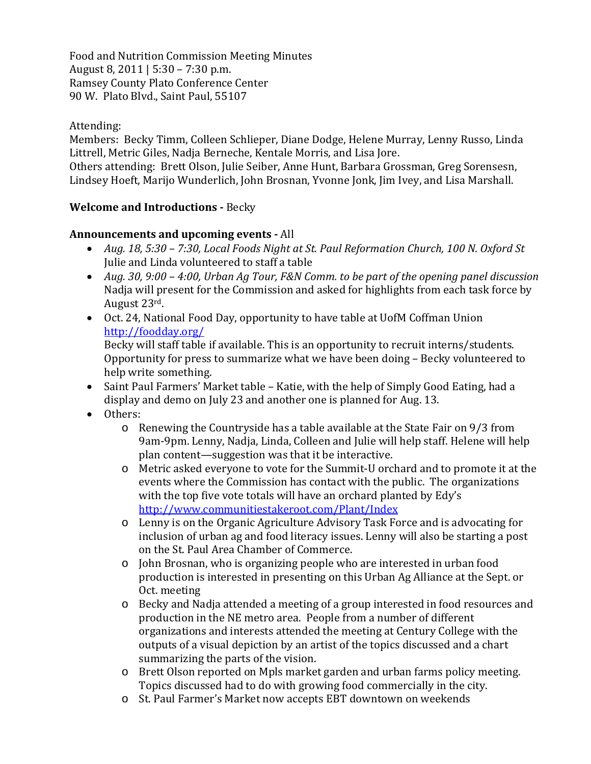Food and Nutrition Commission Meeting Minutes August 8, 2011 | 5:30 – 7:30 p.m. Ramsey County Plato Conference Center 90 W. Plato Blvd., Saint Paul, 55107

## Attending:

Members: Becky Timm, Colleen Schlieper, Diane Dodge, Helene Murray, Lenny Russo, Linda Littrell, Metric Giles, Nadja Berneche, Kentale Morris, and Lisa Jore.

Others attending: Brett Olson, Julie Seiber, Anne Hunt, Barbara Grossman, Greg Sorensesn, Lindsey Hoeft, Marijo Wunderlich, John Brosnan, Yvonne Jonk, Jim Ivey, and Lisa Marshall.

# **Welcome and Introductions - Becky**

## **Announcements and upcoming events** All

- *Aug. 18, 5:30 – 7:30, Local Foods Night at St. Paul Reformation Church, 100 N. Oxford St* Julie and Linda volunteered to staff a table
- *Aug. 30, 9:00 – 4:00, Urban Ag Tour, F&N Comm. to be part of the opening panel discussion* Nadja will present for the Commission and asked for highlights from each task force by August 23rd.
- Oct. 24, National Food Day, opportunity to have table at UofM Coffman Union http://foodday.org/

Becky will staff table if available. This is an opportunity to recruit interns/students. Opportunity for press to summarize what we have been doing – Becky volunteered to help write something.

- Saint Paul Farmers' Market table Katie, with the help of Simply Good Eating, had a display and demo on July 23 and another one is planned for Aug. 13.
- Others:
	- o Renewing the Countryside has a table available at the State Fair on 9/3 from 9am‐9pm. Lenny, Nadja, Linda, Colleen and Julie will help staff. Helene will help plan content—suggestion was that it be interactive.
	- o Metric asked everyone to vote for the Summit‐U orchard and to promote it at the events where the Commission has contact with the public. The organizations with the top five vote totals will have an orchard planted by Edy's http://www.communitiestakeroot.com/Plant/Index
	- o Lenny is on the Organic Agriculture Advisory Task Force and is advocating for inclusion of urban ag and food literacy issues. Lenny will also be starting a post on the St. Paul Area Chamber of Commerce.
	- o John Brosnan, who is organizing people who are interested in urban food production is interested in presenting on this Urban Ag Alliance at the Sept. or Oct. meeting
	- o Becky and Nadja attended a meeting of a group interested in food resources and production in the NE metro area. People from a number of different organizations and interests attended the meeting at Century College with the outputs of a visual depiction by an artist of the topics discussed and a chart summarizing the parts of the vision.
	- o Brett Olson reported on Mpls market garden and urban farms policy meeting. Topics discussed had to do with growing food commercially in the city.
	- o St. Paul Farmer's Market now accepts EBT downtown on weekends